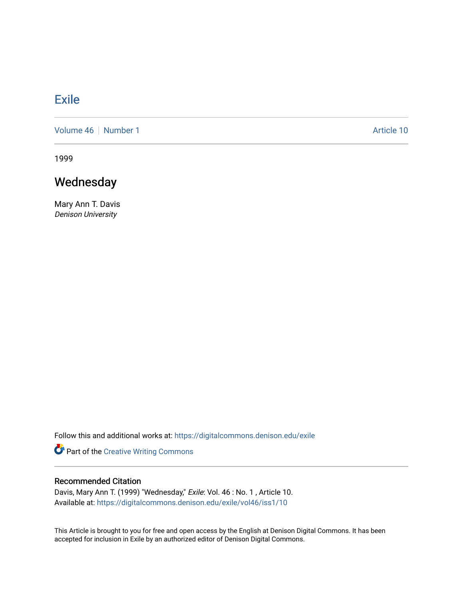## [Exile](https://digitalcommons.denison.edu/exile)

[Volume 46](https://digitalcommons.denison.edu/exile/vol46) | [Number 1](https://digitalcommons.denison.edu/exile/vol46/iss1) Article 10

1999

## Wednesday

Mary Ann T. Davis Denison University

Follow this and additional works at: [https://digitalcommons.denison.edu/exile](https://digitalcommons.denison.edu/exile?utm_source=digitalcommons.denison.edu%2Fexile%2Fvol46%2Fiss1%2F10&utm_medium=PDF&utm_campaign=PDFCoverPages) 

Part of the [Creative Writing Commons](http://network.bepress.com/hgg/discipline/574?utm_source=digitalcommons.denison.edu%2Fexile%2Fvol46%2Fiss1%2F10&utm_medium=PDF&utm_campaign=PDFCoverPages) 

## Recommended Citation

Davis, Mary Ann T. (1999) "Wednesday," Exile: Vol. 46 : No. 1 , Article 10. Available at: [https://digitalcommons.denison.edu/exile/vol46/iss1/10](https://digitalcommons.denison.edu/exile/vol46/iss1/10?utm_source=digitalcommons.denison.edu%2Fexile%2Fvol46%2Fiss1%2F10&utm_medium=PDF&utm_campaign=PDFCoverPages)

This Article is brought to you for free and open access by the English at Denison Digital Commons. It has been accepted for inclusion in Exile by an authorized editor of Denison Digital Commons.